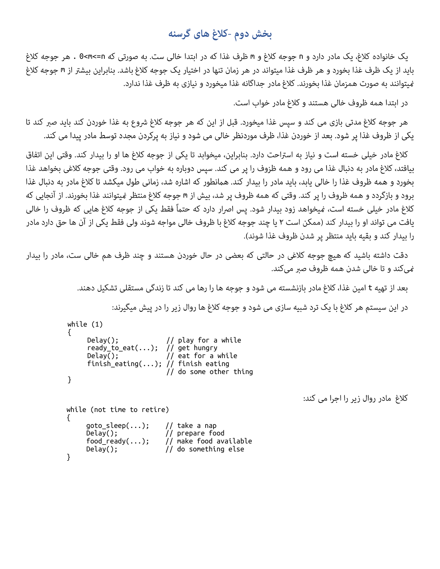## بخش دوم -کلاغ های گرسنه

یک خانواده کلاغ، یک مادر دارد و n جوجه کلاغ و m ظرف غذا که در ابتدا خالی ست. به صورتی که n=>0 m- هر جوجه کلاغ باید از یک ظرف غذا بخورد و هر ظرف غذا میتواند در هر زمان تنها در اختیار یک جوجه کلاغ باشد. بنابراین بیشتر از m جوجه کلاغ فیتوانند به صورت همزمان غذا بخورند. کلاغ مادر جداگانه غذا میخورد و نیازی به ظرف غذا ندارد.

در ابتدا همه ظروف خالی هستند و کلاغ مادر خواب است.

کلاغ مادر روال زیر را اجرا می کند:

هر جوجه كلاغ مدتي بازي مي كند و سپس غذا ميخورد. قبل از اين كه هر جوجه كلاغ شروع به غذا خوردن كند بايد صبر كند تا یکی از ظروف غذا پر شود. بعد از خوردن غذا، ظرف موردنظر خالی می شود و نیاز به پرکردن مجدد توسط مادر پیدا می کند.

كلاغ مادر خيلي خسته است و نياز به استراحت دارد. بنابراين، ميخوابد تا يكي از جوجه كلاغ ها او را بيدار كند. وقتى اين اتفاق بيافتد، كلاغ مادر به دنبال غذا مي رود و همه ظزوف را پر مي كند. سيس دوباره به خواب مي رود. وقتي جوجه كلاغي بخواهد غذا بخورد و همه ظروف غذا را خالی پابد، باید مادر را بیدار کند. همانطور که اشاره شد، زمانی طول میکشد تا کلاغ مادر به دنبال غذا برود و بازگردد و همه ظروف را پر کند. وقتی که همه ظروف پر شد، بیش از m جوجه کلاغ منتظر *غ*یتوانند غذا بخورند. از آنجایی که کلاغ مادر خیلی خسته است، مُیخواهد زود بیدار شود. پس اصرار دارد که حتماً فقط یکی از جوجه کلاغ هایی که ظروف را خالی یافت می تواند او را بیدار کند (ممکن است ۲ یا چند جوجه کلاغ با ظروف خالی مواجه شوند ولی فقط یکی از آن ها حق دارد مادر را بیدار کند و بقیه باید منتظر پر شدن ظروف غذا شوند).

دقت داشته باشید که هیچ جوجه کلاغی در حالتی که بعضی در حال خوردن هستند و چند ظرف هم خالی ست، مادر را بیدار میکند و تا خالی شدن همه ظروف صبر میکند.

بعد از تهیه t امین غذا، کلاغ مادر بازنشسته می شود و جوجه ها را رها می کند تا زندگی مستقلی تشکیل دهند.

در این سیستم هر کلاغ با یک ترد شبیه سازی می شود و جوجه کلاغ ها روال زیر را در پیش میگیرند:

```
while (1) 
{ 
Delay(); // play for a while ready_to_eat(...); // get hungry 
Delay(); \sqrt{2} at for a while
 finish_eating(...); // finish eating 
\frac{1}{\sqrt{2}} do some other thing
}
while (not time to retire) 
\mathfrak{t}goto_sleep(...); // take a nap<br>Delay(); // prepare fo
                        // prepare food
     food_ready(\ldots); // make food available
     Delay(); // do something else 
}
```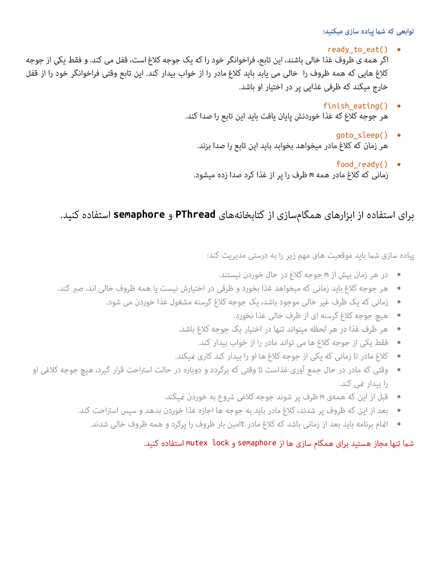توابعی که شما پیاده سازی میکنید:

- ready to eat()  $\bullet$ اگر همه ی ظروف غذا خالی باشند، این تابع، فراخوانگر خود را که یک جوجه کلاغ است، قفل می کند. و فقط یکی از جوجه كلاغ هايي كه همه ظروف را خالي مي يابد بايد كلاغ مادر را از خواب بيدار كند. اين تابع وقتي فراخوانگر خود را از قفل خارج میکند که ظرفی غذایی پر در اختیار او باشد.
	- finish eating()  $\bullet$ هر جوجه كلاغ كه غذا خوردنش پايان يافت بايد اين تابع را صدا كند.
		- goto\_sleep() هر زمان كه كلاغ مادر ميخواهد بخوابد بايد اين تابع را صدا بزند.
		- food ready() زمانی که کلاغ مادر همه m ظرف را پر از غذا کرد صدا زده میشود.

**semaphore PThread**

پیاده سازی شما باید موقعیت های مهم زیر را به درستی مدیریت کند:

- در هر زمان بیش از m جوجه کلاغ در حال خوردن نیستند.
- هر جوجه کلاغ باید زمانی که میخواهد غذا بخورد و ظرفی در اختیارش نیست یا همه ظروف خالی اند، صبر کند.  $\bullet$ 
	- زمانی که یک ظرف غیر خالی موجود باشد، یک جوجه کلاغ گرسنه مشغول غذا خوردن می شود.  $\bullet$ 
		- هيچ جوجه كلاغ گرسنه اي از ظرف خالي غذا نخورد.  $\bullet$
		- هر ظرف غذا در هر لحظه میتواند تنها در اختیار یک جوجه کلاغ باشد.  $\bullet$ 
			- فقط یکی از جوجه کلاغ ها می تواند مادر را از خواب بیدار کند.  $\bullet$
		- کلاغ مادر تا زمانی که یکی از جوجه کلاغ ها او را بیدار کند کاری غیکند.  $\bullet$
- وقتی که مادر در حال جمع آوری غذاست تا وقتی که برگردد و دوباره در حالت استراحت قرار گیرد، هیچ جوجه کلاغی او  $\bullet$ را بیدار غی کند.
	- قبل از این که همهی m ظرف پر شوند جوجه کلاغی شروع به خوردن <sub>ن</sub>میکند.
	- بعد از این که ظروف پر شدند، کلاغ مادر باید به جوجه ها اجازه غذا خوردن بدهد و سپس استراحت کند.  $\bullet$ 
		- اقام برنامه باید بعد از زمانی باشد که کلاغ مادر tامین بار ظروف را پرکرد و همه ظروف خالی شدند.

## شما تنها مجاز هستید برای همگام سازی ها از semaphore و mutex lock استفاده کنید.